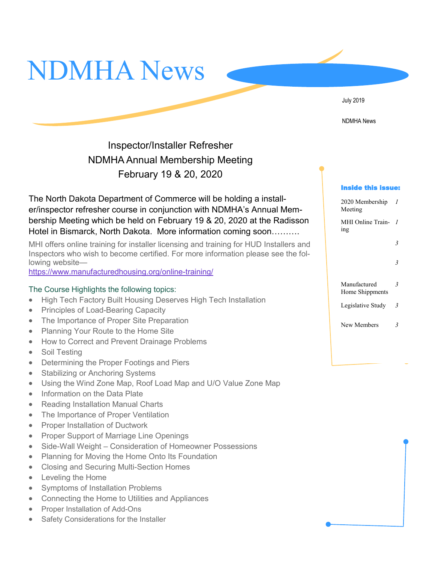



NDMHA News

# Inspector/Installer Refresher NDMHA Annual Membership Meeting February 19 & 20, 2020

The North Dakota Department of Commerce will be holding a installer/inspector refresher course in conjunction with NDMHA's Annual Membership Meeting which be held on February 19 & 20, 2020 at the Radisson Hotel in Bismarck, North Dakota. More information coming soon……….

MHI offers online training for installer licensing and training for HUD Installers and Inspectors who wish to become certified. For more information please see the following website—

[https://www.manufacturedhousing.org/online](https://www.manufacturedhousing.org/online-training/)-training/

#### The Course Highlights the following topics:

- High Tech Factory Built Housing Deserves High Tech Installation
- Principles of Load-Bearing Capacity
- The Importance of Proper Site Preparation
- Planning Your Route to the Home Site
- How to Correct and Prevent Drainage Problems
- Soil Testing
- Determining the Proper Footings and Piers
- Stabilizing or Anchoring Systems
- Using the Wind Zone Map, Roof Load Map and U/O Value Zone Map
- Information on the Data Plate
- Reading Installation Manual Charts
- The Importance of Proper Ventilation
- Proper Installation of Ductwork
- Proper Support of Marriage Line Openings
- Side-Wall Weight Consideration of Homeowner Possessions
- Planning for Moving the Home Onto Its Foundation
- Closing and Securing Multi-Section Homes
- Leveling the Home
- Symptoms of Installation Problems
- Connecting the Home to Utilities and Appliances
- Proper Installation of Add-Ons
- Safety Considerations for the Installer

#### Inside this issue:

| 2020 Membership<br>Meeting      | 1                       |
|---------------------------------|-------------------------|
| MHI Online Train-<br>ing        | 1                       |
|                                 | $\overline{\mathbf{3}}$ |
|                                 | $\overline{\mathbf{3}}$ |
| Manufactured<br>Home Shippments | 3                       |
| Legislative Study               | 3                       |
| New Members                     |                         |
|                                 |                         |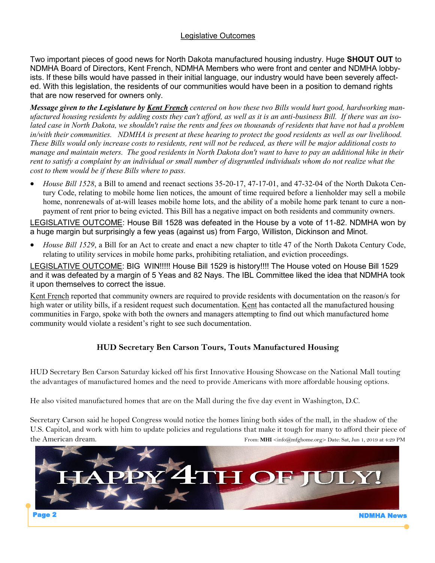## Legislative Outcomes

Two important pieces of good news for North Dakota manufactured housing industry. Huge **SHOUT OUT** to NDMHA Board of Directors, Kent French, NDMHA Members who were front and center and NDMHA lobbyists. If these bills would have passed in their initial language, our industry would have been severely affected. With this legislation, the residents of our communities would have been in a position to demand rights that are now reserved for owners only.

*Message given to the Legislature by Kent French centered on how these two Bills would hurt good, hardworking man*ufactured housing residents by adding costs they can't afford, as well as it is an anti-business Bill. If there was an iso*lated case in North Dakota, we shouldn't raise the rents and fees on thousands of residents that have not had a problem in/with their communities. NDMHA is present at these hearing to protect the good residents as well as our livelihood. These Bills would only increase costs to residents, rent will not be reduced, as there will be major additional costs to manage and maintain meters. The good residents in North Dakota don't want to have to pay an additional hike in their*  rent to satisfy a complaint by an individual or small number of disgruntled individuals whom do not realize what the *cost to them would be if these Bills where to pass.* 

• *House Bill 1528*, a Bill to amend and reenact sections 35-20-17, 47-17-01, and 47-32-04 of the North Dakota Century Code, relating to mobile home lien notices, the amount of time required before a lienholder may sell a mobile home, nonrenewals of at-will leases mobile home lots, and the ability of a mobile home park tenant to cure a nonpayment of rent prior to being evicted. This Bill has a negative impact on both residents and community owners.

LEGISLATIVE OUTCOME: House Bill 1528 was defeated in the House by a vote of 11-82. NDMHA won by a huge margin but surprisingly a few yeas (against us) from Fargo, Williston, Dickinson and Minot.

• *House Bill 1529*, a Bill for an Act to create and enact a new chapter to title 47 of the North Dakota Century Code, relating to utility services in mobile home parks, prohibiting retaliation, and eviction proceedings.

LEGISLATIVE OUTCOME: BIG WIN!!!!! House Bill 1529 is history!!!! The House voted on House Bill 1529 and it was defeated by a margin of 5 Yeas and 82 Nays. The IBL Committee liked the idea that NDMHA took it upon themselves to correct the issue.

Kent French reported that community owners are required to provide residents with documentation on the reason/s for high water or utility bills, if a resident request such documentation. Kent has contacted all the manufactured housing communities in Fargo, spoke with both the owners and managers attempting to find out which manufactured home community would violate a resident's right to see such documentation.

## **HUD Secretary Ben Carson Tours, Touts Manufactured Housing**

HUD Secretary Ben Carson Saturday kicked off his first Innovative Housing Showcase on the National Mall touting the advantages of manufactured homes and the need to provide Americans with more affordable housing options.

He also visited manufactured homes that are on the Mall during the five day event in Washington, D.C.

Secretary Carson said he hoped Congress would notice the homes lining both sides of the mall, in the shadow of the U.S. Capitol, and work with him to update policies and regulations that make it tough for many to afford their piece of the American dream. The American dream.